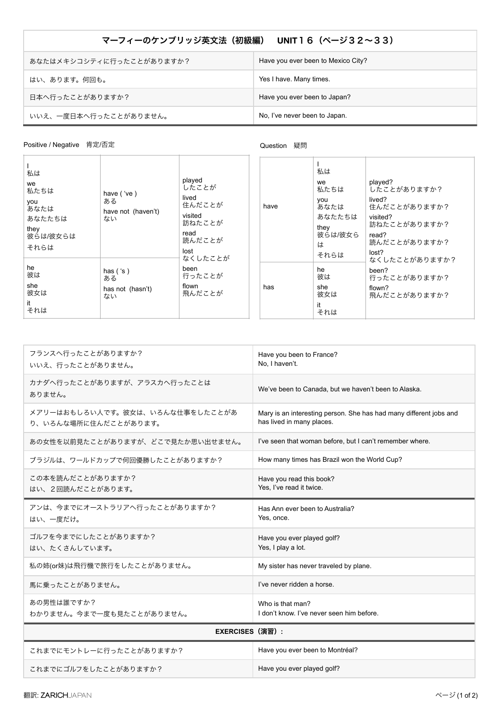## マーフィーのケンブリッジ英文法 (初級編) UNIT16 (ページ32~33)

| あなたはメキシコシティに行ったことがありますか? | Have you ever been to Mexico City? |
|--------------------------|------------------------------------|
| はい、あります。何回も。             | Yes I have. Many times.            |
| 日本へ行ったことがありますか?          | Have you ever been to Japan?       |
| いいえ、一度日本へ行ったことがありません。    | No, I've never been to Japan.      |

## Positive / Negative 肯定/否定

## Question 疑問

| 私は<br>we<br>私たちは<br>you<br>あなたは<br>あなたたちは<br>they<br>彼らは/彼女らは<br>それらは | have ('ve)<br>ある<br>have not (haven't)<br>ない | played<br>したことが<br>lived<br>住んだことが<br>visited<br>訪ねたことが<br>read<br>読んだことが<br>lost | have | 私は<br>we<br>私たちは<br>you<br>あなたは<br>あなたたちは<br>they<br>彼らは/彼女ら<br>は<br>それらは | played?<br>したことがありますか?<br>lived?<br>住んだことがありますか?<br>visited?<br>訪ねたことがありますか?<br>read?<br>読んだことがありますか?<br>lost? |
|-----------------------------------------------------------------------|----------------------------------------------|-----------------------------------------------------------------------------------|------|---------------------------------------------------------------------------|----------------------------------------------------------------------------------------------------------------|
| he<br>彼は<br>she<br>彼女は<br>it<br>それは                                   | has $('s)$<br>ある<br>has not (hasn't)<br>ない   | なくしたことが<br>been<br>行ったことが<br>flown<br>飛んだことが                                      | has  | he<br>彼は<br>she<br>彼女は<br>it<br>それは                                       | なくしたことがありますか?<br>been?<br>行ったことがありますか?<br>flown?<br>飛んだことがありますか?                                               |

| フランスへ行ったことがありますか?<br>いいえ、行ったことがありません。                   | Have you been to France?<br>No. I haven't.                                                      |  |  |
|---------------------------------------------------------|-------------------------------------------------------------------------------------------------|--|--|
| カナダへ行ったことがありますが、アラスカへ行ったことは<br>ありません。                   | We've been to Canada, but we haven't been to Alaska.                                            |  |  |
| メアリーはおもしろい人です。彼女は、いろんな仕事をしたことがあ<br>り、いろんな場所に住んだことがあります。 | Mary is an interesting person. She has had many different jobs and<br>has lived in many places. |  |  |
| あの女性を以前見たことがありますが、どこで見たか思い出せません。                        | I've seen that woman before, but I can't remember where.                                        |  |  |
| ブラジルは、ワールドカップで何回優勝したことがありますか?                           | How many times has Brazil won the World Cup?                                                    |  |  |
| この本を読んだことがありますか?<br>はい、2回読んだことがあります。                    | Have you read this book?<br>Yes, I've read it twice.                                            |  |  |
| アンは、今までにオーストラリアへ行ったことがありますか?<br>はい、一度だけ。                | Has Ann ever been to Australia?<br>Yes, once.                                                   |  |  |
| ゴルフを今までにしたことがありますか?<br>はい、たくさんしています。                    | Have you ever played golf?<br>Yes, I play a lot.                                                |  |  |
| 私の姉(or妹)は飛行機で旅行をしたことがありません。                             | My sister has never traveled by plane.                                                          |  |  |
| 馬に乗ったことがありません。                                          | I've never ridden a horse.                                                                      |  |  |
| あの男性は誰ですか?<br>わかりません。今まで一度も見たことがありません。                  | Who is that man?<br>I don't know. I've never seen him before.                                   |  |  |
| EXERCISES (演習):                                         |                                                                                                 |  |  |
| これまでにモントレーに行ったことがありますか?                                 | Have you ever been to Montréal?                                                                 |  |  |
| これまでにゴルフをしたことがありますか?                                    | Have you ever played golf?                                                                      |  |  |